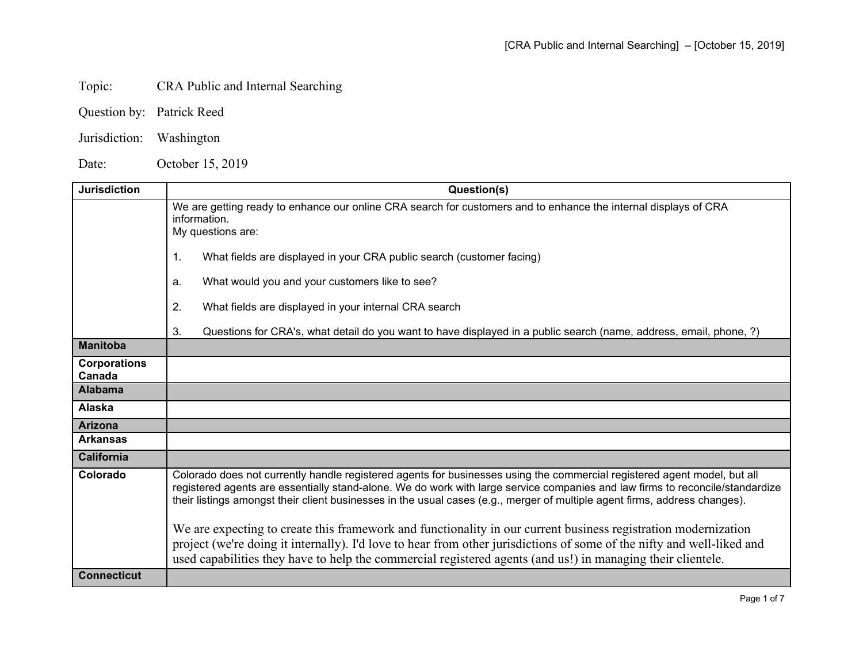## Topic: CRA Public and Internal Searching

- Question by: Patrick Reed
- Jurisdiction: Washington

Date: October 15, 2019

| <b>Jurisdiction</b>           | Question(s)                                                                                                                                                                                                                                                                                                                                                                                                                                                                                                                                                                                                                                                                                                                                        |
|-------------------------------|----------------------------------------------------------------------------------------------------------------------------------------------------------------------------------------------------------------------------------------------------------------------------------------------------------------------------------------------------------------------------------------------------------------------------------------------------------------------------------------------------------------------------------------------------------------------------------------------------------------------------------------------------------------------------------------------------------------------------------------------------|
|                               | We are getting ready to enhance our online CRA search for customers and to enhance the internal displays of CRA<br>information.<br>My questions are:<br>$\mathbf{1}$ .<br>What fields are displayed in your CRA public search (customer facing)                                                                                                                                                                                                                                                                                                                                                                                                                                                                                                    |
|                               | What would you and your customers like to see?<br>a.                                                                                                                                                                                                                                                                                                                                                                                                                                                                                                                                                                                                                                                                                               |
|                               | 2.<br>What fields are displayed in your internal CRA search                                                                                                                                                                                                                                                                                                                                                                                                                                                                                                                                                                                                                                                                                        |
|                               | 3.<br>Questions for CRA's, what detail do you want to have displayed in a public search (name, address, email, phone, ?)                                                                                                                                                                                                                                                                                                                                                                                                                                                                                                                                                                                                                           |
| <b>Manitoba</b>               |                                                                                                                                                                                                                                                                                                                                                                                                                                                                                                                                                                                                                                                                                                                                                    |
| <b>Corporations</b><br>Canada |                                                                                                                                                                                                                                                                                                                                                                                                                                                                                                                                                                                                                                                                                                                                                    |
| <b>Alabama</b>                |                                                                                                                                                                                                                                                                                                                                                                                                                                                                                                                                                                                                                                                                                                                                                    |
| Alaska                        |                                                                                                                                                                                                                                                                                                                                                                                                                                                                                                                                                                                                                                                                                                                                                    |
| <b>Arizona</b>                |                                                                                                                                                                                                                                                                                                                                                                                                                                                                                                                                                                                                                                                                                                                                                    |
| <b>Arkansas</b>               |                                                                                                                                                                                                                                                                                                                                                                                                                                                                                                                                                                                                                                                                                                                                                    |
| <b>California</b>             |                                                                                                                                                                                                                                                                                                                                                                                                                                                                                                                                                                                                                                                                                                                                                    |
| Colorado                      | Colorado does not currently handle registered agents for businesses using the commercial registered agent model, but all<br>registered agents are essentially stand-alone. We do work with large service companies and law firms to reconcile/standardize<br>their listings amongst their client businesses in the usual cases (e.g., merger of multiple agent firms, address changes).<br>We are expecting to create this framework and functionality in our current business registration modernization<br>project (we're doing it internally). I'd love to hear from other jurisdictions of some of the nifty and well-liked and<br>used capabilities they have to help the commercial registered agents (and us!) in managing their clientele. |
| <b>Connecticut</b>            |                                                                                                                                                                                                                                                                                                                                                                                                                                                                                                                                                                                                                                                                                                                                                    |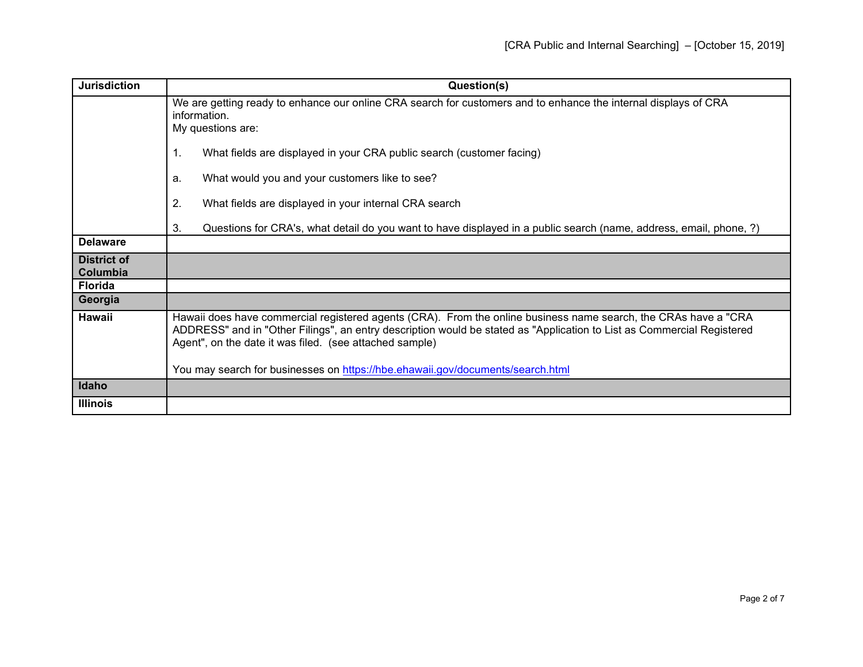| <b>Jurisdiction</b>            | Question(s)                                                                                                                                                                                                                                                                                          |
|--------------------------------|------------------------------------------------------------------------------------------------------------------------------------------------------------------------------------------------------------------------------------------------------------------------------------------------------|
|                                | We are getting ready to enhance our online CRA search for customers and to enhance the internal displays of CRA<br>information.<br>My questions are:                                                                                                                                                 |
|                                | What fields are displayed in your CRA public search (customer facing)<br>1.                                                                                                                                                                                                                          |
|                                | What would you and your customers like to see?<br>a.                                                                                                                                                                                                                                                 |
|                                | 2.<br>What fields are displayed in your internal CRA search                                                                                                                                                                                                                                          |
|                                | 3.<br>Questions for CRA's, what detail do you want to have displayed in a public search (name, address, email, phone, ?)                                                                                                                                                                             |
| <b>Delaware</b>                |                                                                                                                                                                                                                                                                                                      |
| <b>District of</b><br>Columbia |                                                                                                                                                                                                                                                                                                      |
| <b>Florida</b>                 |                                                                                                                                                                                                                                                                                                      |
| Georgia                        |                                                                                                                                                                                                                                                                                                      |
| Hawaii                         | Hawaii does have commercial registered agents (CRA). From the online business name search, the CRAs have a "CRA<br>ADDRESS" and in "Other Filings", an entry description would be stated as "Application to List as Commercial Registered<br>Agent", on the date it was filed. (see attached sample) |
|                                | You may search for businesses on https://hbe.ehawaii.gov/documents/search.html                                                                                                                                                                                                                       |
| Idaho                          |                                                                                                                                                                                                                                                                                                      |
| <b>Illinois</b>                |                                                                                                                                                                                                                                                                                                      |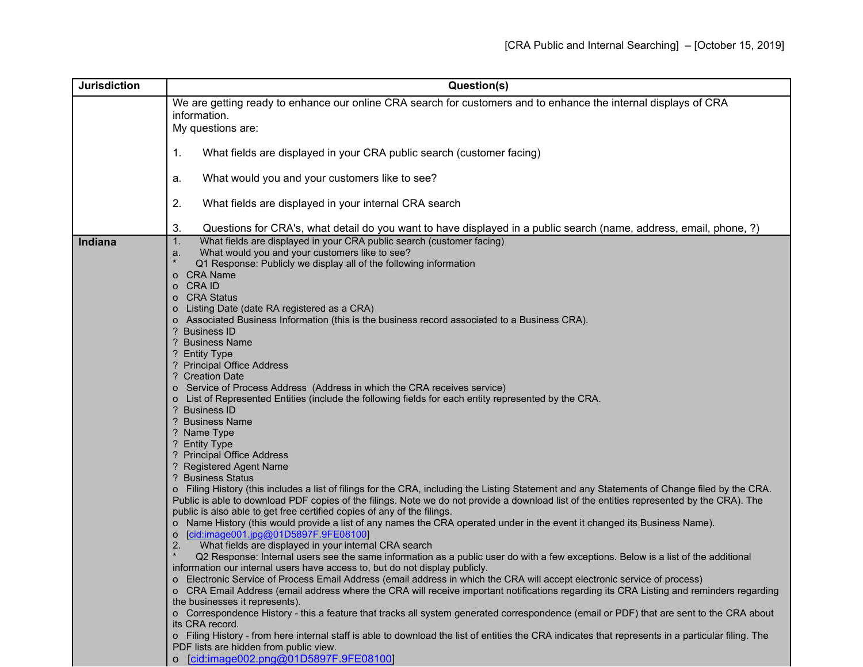| <b>Jurisdiction</b> | Question(s)                                                                                                                                                                                      |
|---------------------|--------------------------------------------------------------------------------------------------------------------------------------------------------------------------------------------------|
|                     | We are getting ready to enhance our online CRA search for customers and to enhance the internal displays of CRA                                                                                  |
|                     | information.                                                                                                                                                                                     |
|                     | My questions are:                                                                                                                                                                                |
|                     |                                                                                                                                                                                                  |
|                     | What fields are displayed in your CRA public search (customer facing)<br>1.                                                                                                                      |
|                     |                                                                                                                                                                                                  |
|                     | What would you and your customers like to see?<br>а.                                                                                                                                             |
|                     |                                                                                                                                                                                                  |
|                     | 2.<br>What fields are displayed in your internal CRA search                                                                                                                                      |
|                     |                                                                                                                                                                                                  |
|                     | 3.<br>Questions for CRA's, what detail do you want to have displayed in a public search (name, address, email, phone, ?)                                                                         |
| Indiana             | What fields are displayed in your CRA public search (customer facing)<br>1.                                                                                                                      |
|                     | What would you and your customers like to see?<br>a.                                                                                                                                             |
|                     | Q1 Response: Publicly we display all of the following information<br>o CRA Name                                                                                                                  |
|                     | o CRA ID                                                                                                                                                                                         |
|                     | o CRA Status                                                                                                                                                                                     |
|                     | Listing Date (date RA registered as a CRA)<br>$\circ$                                                                                                                                            |
|                     | Associated Business Information (this is the business record associated to a Business CRA).<br>$\circ$                                                                                           |
|                     | ? Business ID                                                                                                                                                                                    |
|                     | ? Business Name                                                                                                                                                                                  |
|                     | ? Entity Type                                                                                                                                                                                    |
|                     | ? Principal Office Address                                                                                                                                                                       |
|                     | ? Creation Date                                                                                                                                                                                  |
|                     | o Service of Process Address (Address in which the CRA receives service)                                                                                                                         |
|                     | o List of Represented Entities (include the following fields for each entity represented by the CRA.                                                                                             |
|                     | ? Business ID<br>? Business Name                                                                                                                                                                 |
|                     | ? Name Type                                                                                                                                                                                      |
|                     | ? Entity Type                                                                                                                                                                                    |
|                     | ? Principal Office Address                                                                                                                                                                       |
|                     | ? Registered Agent Name                                                                                                                                                                          |
|                     | ? Business Status                                                                                                                                                                                |
|                     | o Filing History (this includes a list of filings for the CRA, including the Listing Statement and any Statements of Change filed by the CRA.                                                    |
|                     | Public is able to download PDF copies of the filings. Note we do not provide a download list of the entities represented by the CRA). The                                                        |
|                     | public is also able to get free certified copies of any of the filings.                                                                                                                          |
|                     | o Name History (this would provide a list of any names the CRA operated under in the event it changed its Business Name).                                                                        |
|                     | [cid:image001.jpg@01D5897F.9FE08100]<br>$\circ$                                                                                                                                                  |
|                     | What fields are displayed in your internal CRA search<br>2.<br>Q2 Response: Internal users see the same information as a public user do with a few exceptions. Below is a list of the additional |
|                     | information our internal users have access to, but do not display publicly.                                                                                                                      |
|                     | o Electronic Service of Process Email Address (email address in which the CRA will accept electronic service of process)                                                                         |
|                     | o CRA Email Address (email address where the CRA will receive important notifications regarding its CRA Listing and reminders regarding                                                          |
|                     | the businesses it represents).                                                                                                                                                                   |
|                     | o Correspondence History - this a feature that tracks all system generated correspondence (email or PDF) that are sent to the CRA about                                                          |
|                     | its CRA record.                                                                                                                                                                                  |
|                     | o Filing History - from here internal staff is able to download the list of entities the CRA indicates that represents in a particular filing. The                                               |
|                     | PDF lists are hidden from public view.                                                                                                                                                           |
|                     | o [cid:image002.png@01D5897F.9FE08100]                                                                                                                                                           |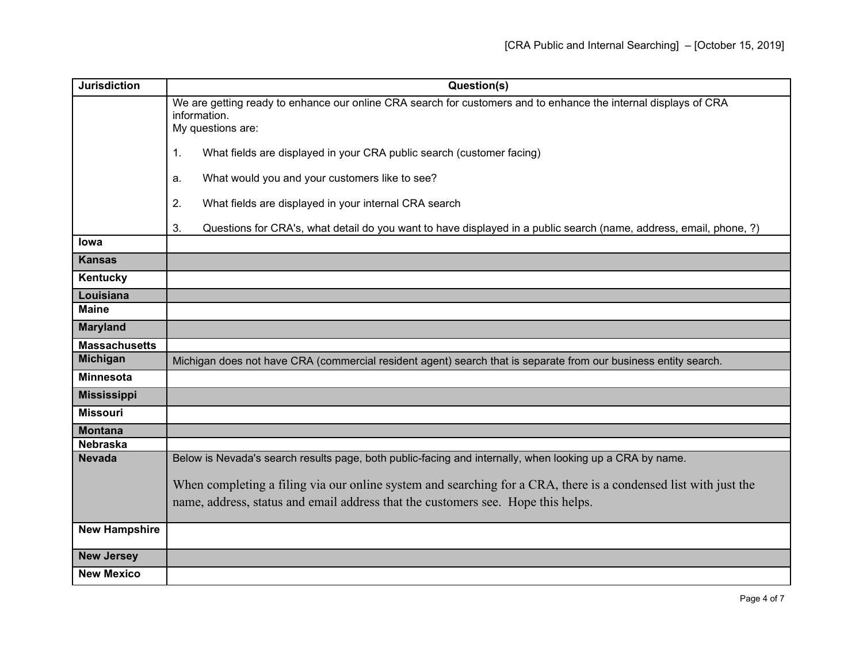| <b>Jurisdiction</b>  | Question(s)                                                                                                              |
|----------------------|--------------------------------------------------------------------------------------------------------------------------|
|                      | We are getting ready to enhance our online CRA search for customers and to enhance the internal displays of CRA          |
|                      | information.<br>My questions are:                                                                                        |
|                      |                                                                                                                          |
|                      | 1.<br>What fields are displayed in your CRA public search (customer facing)                                              |
|                      | What would you and your customers like to see?<br>a.                                                                     |
|                      | 2.<br>What fields are displayed in your internal CRA search                                                              |
|                      | 3.<br>Questions for CRA's, what detail do you want to have displayed in a public search (name, address, email, phone, ?) |
| lowa                 |                                                                                                                          |
| <b>Kansas</b>        |                                                                                                                          |
| Kentucky             |                                                                                                                          |
| Louisiana            |                                                                                                                          |
| <b>Maine</b>         |                                                                                                                          |
| <b>Maryland</b>      |                                                                                                                          |
| <b>Massachusetts</b> |                                                                                                                          |
| <b>Michigan</b>      | Michigan does not have CRA (commercial resident agent) search that is separate from our business entity search.          |
| <b>Minnesota</b>     |                                                                                                                          |
| <b>Mississippi</b>   |                                                                                                                          |
| <b>Missouri</b>      |                                                                                                                          |
| <b>Montana</b>       |                                                                                                                          |
| <b>Nebraska</b>      |                                                                                                                          |
| <b>Nevada</b>        | Below is Nevada's search results page, both public-facing and internally, when looking up a CRA by name.                 |
|                      | When completing a filing via our online system and searching for a CRA, there is a condensed list with just the          |
|                      | name, address, status and email address that the customers see. Hope this helps.                                         |
| <b>New Hampshire</b> |                                                                                                                          |
|                      |                                                                                                                          |
| <b>New Jersey</b>    |                                                                                                                          |
| <b>New Mexico</b>    |                                                                                                                          |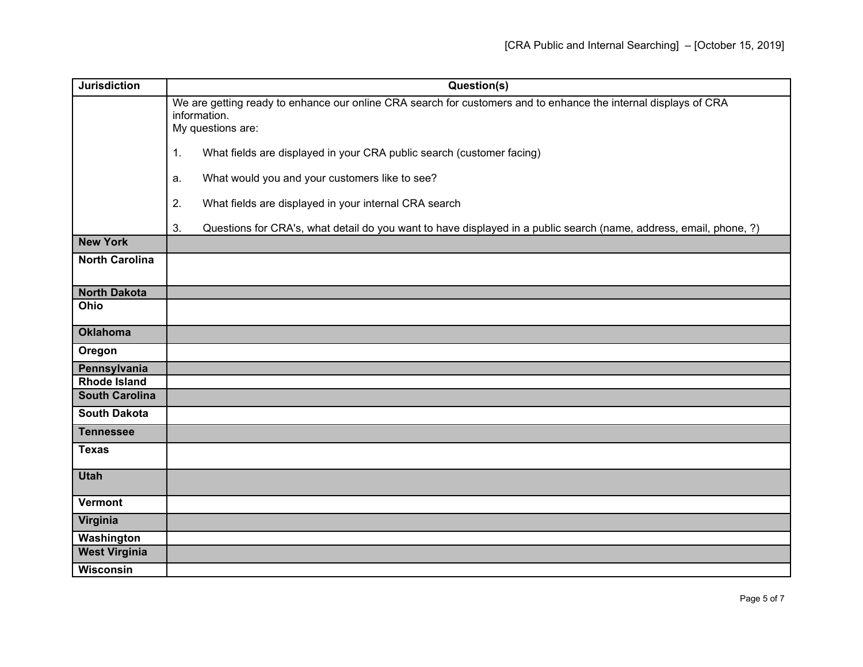| <b>Jurisdiction</b>   | Question(s)                                                                                                              |
|-----------------------|--------------------------------------------------------------------------------------------------------------------------|
|                       | We are getting ready to enhance our online CRA search for customers and to enhance the internal displays of CRA          |
|                       | information.<br>My questions are:                                                                                        |
|                       |                                                                                                                          |
|                       | 1.<br>What fields are displayed in your CRA public search (customer facing)                                              |
|                       | What would you and your customers like to see?<br>a.                                                                     |
|                       | 2.<br>What fields are displayed in your internal CRA search                                                              |
|                       | 3.<br>Questions for CRA's, what detail do you want to have displayed in a public search (name, address, email, phone, ?) |
| <b>New York</b>       |                                                                                                                          |
| <b>North Carolina</b> |                                                                                                                          |
| <b>North Dakota</b>   |                                                                                                                          |
| Ohio                  |                                                                                                                          |
|                       |                                                                                                                          |
| <b>Oklahoma</b>       |                                                                                                                          |
| Oregon                |                                                                                                                          |
| Pennsylvania          |                                                                                                                          |
| <b>Rhode Island</b>   |                                                                                                                          |
| <b>South Carolina</b> |                                                                                                                          |
| <b>South Dakota</b>   |                                                                                                                          |
| <b>Tennessee</b>      |                                                                                                                          |
| <b>Texas</b>          |                                                                                                                          |
| <b>Utah</b>           |                                                                                                                          |
| <b>Vermont</b>        |                                                                                                                          |
| Virginia              |                                                                                                                          |
| Washington            |                                                                                                                          |
| <b>West Virginia</b>  |                                                                                                                          |
| <b>Wisconsin</b>      |                                                                                                                          |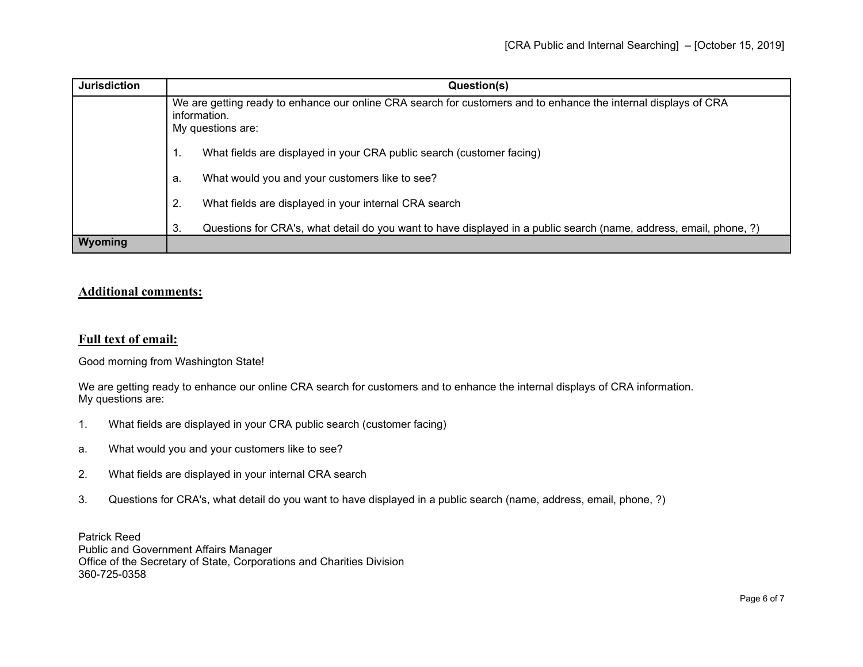| <b>Jurisdiction</b> | Question(s)                                                                                                                                          |
|---------------------|------------------------------------------------------------------------------------------------------------------------------------------------------|
|                     | We are getting ready to enhance our online CRA search for customers and to enhance the internal displays of CRA<br>information.<br>My questions are: |
|                     | What fields are displayed in your CRA public search (customer facing)<br>1.                                                                          |
|                     | What would you and your customers like to see?<br>а.                                                                                                 |
|                     | 2.<br>What fields are displayed in your internal CRA search                                                                                          |
|                     | Questions for CRA's, what detail do you want to have displayed in a public search (name, address, email, phone, ?)<br>3.                             |
| Wyoming             |                                                                                                                                                      |

## **Additional comments:**

## **Full text of email:**

Good morning from Washington State!

We are getting ready to enhance our online CRA search for customers and to enhance the internal displays of CRA information. My questions are:

- 1. What fields are displayed in your CRA public search (customer facing)
- a. What would you and your customers like to see?
- 2. What fields are displayed in your internal CRA search
- 3. Questions for CRA's, what detail do you want to have displayed in a public search (name, address, email, phone, ?)

Patrick Reed Public and Government Affairs Manager Office of the Secretary of State, Corporations and Charities Division 360-725-0358